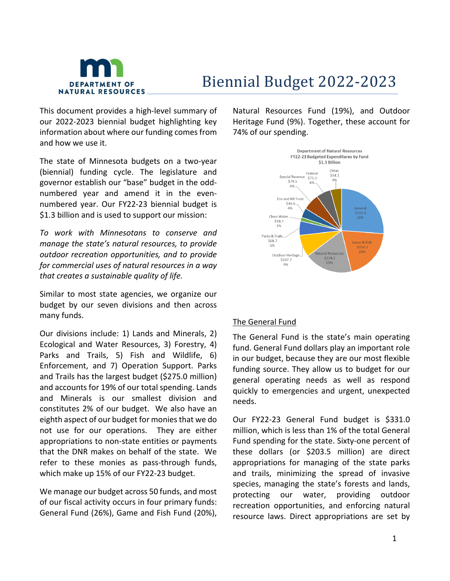

# Biennial Budget 2022-2023

This document provides a high-level summary of our 2022-2023 biennial budget highlighting key information about where our funding comes from and how we use it.

The state of Minnesota budgets on a two-year (biennial) funding cycle. The legislature and governor establish our "base" budget in the oddnumbered year and amend it in the evennumbered year. Our FY22-23 biennial budget is \$1.3 billion and is used to support our mission:

*To work with Minnesotans to conserve and manage the state's natural resources, to provide outdoor recreation opportunities, and to provide for commercial uses of natural resources in a way that creates a sustainable quality of life.*

Similar to most state agencies, we organize our budget by our seven divisions and then across many funds.

Our divisions include: 1) Lands and Minerals, 2) Ecological and Water Resources, 3) Forestry, 4) Parks and Trails, 5) Fish and Wildlife, 6) Enforcement, and 7) Operation Support. Parks and Trails has the largest budget (\$275.0 million) and accounts for 19% of our total spending. Lands and Minerals is our smallest division and constitutes 2% of our budget. We also have an eighth aspect of our budget for monies that we do not use for our operations. They are either appropriations to non-state entities or payments that the DNR makes on behalf of the state. We refer to these monies as pass-through funds, which make up 15% of our FY22-23 budget.

We manage our budget across 50 funds, and most of our fiscal activity occurs in four primary funds: General Fund (26%), Game and Fish Fund (20%), Natural Resources Fund (19%), and Outdoor Heritage Fund (9%). Together, these account for 74% of our spending.



#### The General Fund

The General Fund is the state's main operating fund. General Fund dollars play an important role in our budget, because they are our most flexible funding source. They allow us to budget for our general operating needs as well as respond quickly to emergencies and urgent, unexpected needs.

Our FY22-23 General Fund budget is \$331.0 million, which is less than 1% of the total General Fund spending for the state. Sixty-one percent of these dollars (or \$203.5 million) are direct appropriations for managing of the state parks and trails, minimizing the spread of invasive species, managing the state's forests and lands, protecting our water, providing outdoor recreation opportunities, and enforcing natural resource laws. Direct appropriations are set by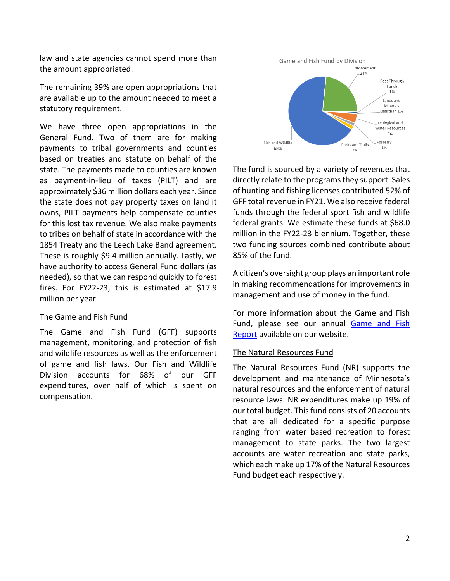law and state agencies cannot spend more than the amount appropriated.

The remaining 39% are open appropriations that are available up to the amount needed to meet a statutory requirement.

We have three open appropriations in the General Fund. Two of them are for making payments to tribal governments and counties based on treaties and statute on behalf of the state. The payments made to counties are known as payment-in-lieu of taxes (PILT) and are approximately \$36 million dollars each year. Since the state does not pay property taxes on land it owns, PILT payments help compensate counties for this lost tax revenue. We also make payments to tribes on behalf of state in accordance with the 1854 Treaty and the Leech Lake Band agreement. These is roughly \$9.4 million annually. Lastly, we have authority to access General Fund dollars (as needed), so that we can respond quickly to forest fires. For FY22-23, this is estimated at \$17.9 million per year.

#### The Game and Fish Fund

The Game and Fish Fund (GFF) supports management, monitoring, and protection of fish and wildlife resources as well as the enforcement of game and fish laws. Our Fish and Wildlife Division accounts for 68% of our GFF expenditures, over half of which is spent on compensation.



The fund is sourced by a variety of revenues that directly relate to the programs they support. Sales of hunting and fishing licenses contributed 52% of GFF total revenue in FY21. We also receive federal funds through the federal sport fish and wildlife federal grants. We estimate these funds at \$68.0 million in the FY22-23 biennium. Together, these two funding sources combined contribute about 85% of the fund.

A citizen's oversight group plays an important role in making recommendations for improvements in management and use of money in the fund.

For more information about the Game and Fish Fund, please see our annual [Game and Fish](https://www.dnr.state.mn.us/aboutdnr/budget/index.html)  [Report](https://www.dnr.state.mn.us/aboutdnr/budget/index.html) available on our website.

#### The Natural Resources Fund

The Natural Resources Fund (NR) supports the development and maintenance of Minnesota's natural resources and the enforcement of natural resource laws. NR expenditures make up 19% of our total budget. This fund consists of 20 accounts that are all dedicated for a specific purpose ranging from water based recreation to forest management to state parks. The two largest accounts are water recreation and state parks, which each make up 17% of the Natural Resources Fund budget each respectively.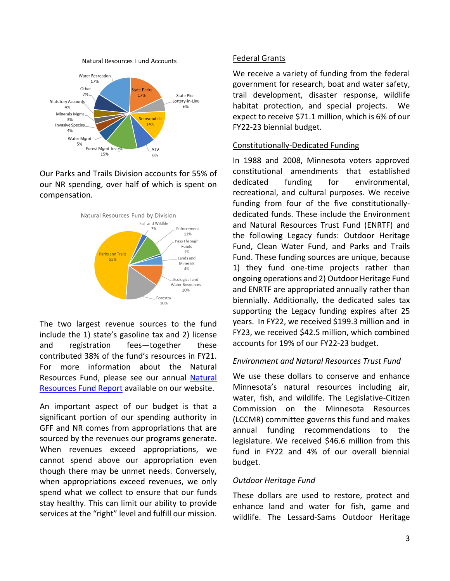

Natural Resources Fund Accounts

Our Parks and Trails Division accounts for 55% of our NR spending, over half of which is spent on compensation.



The two largest revenue sources to the fund include the 1) state's gasoline tax and 2) license and registration fees—together these contributed 38% of the fund's resources in FY21. For more information about the Natural Resources Fund, please see our annual [Natural](https://www.dnr.state.mn.us/aboutdnr/budget/index.html)  [Resources Fund Report](https://www.dnr.state.mn.us/aboutdnr/budget/index.html) available on our website.

An important aspect of our budget is that a significant portion of our spending authority in GFF and NR comes from appropriations that are sourced by the revenues our programs generate. When revenues exceed appropriations, we cannot spend above our appropriation even though there may be unmet needs. Conversely, when appropriations exceed revenues, we only spend what we collect to ensure that our funds stay healthy. This can limit our ability to provide services at the "right" level and fulfill our mission.

#### Federal Grants

We receive a variety of funding from the federal government for research, boat and water safety, trail development, disaster response, wildlife habitat protection, and special projects. We expect to receive \$71.1 million, which is 6% of our FY22-23 biennial budget.

#### Constitutionally-Dedicated Funding

In 1988 and 2008, Minnesota voters approved constitutional amendments that established dedicated funding for environmental, recreational, and cultural purposes. We receive funding from four of the five constitutionallydedicated funds. These include the Environment and Natural Resources Trust Fund (ENRTF) and the following Legacy funds: Outdoor Heritage Fund, Clean Water Fund, and Parks and Trails Fund. These funding sources are unique, because 1) they fund one-time projects rather than ongoing operations and 2) Outdoor Heritage Fund and ENRTF are appropriated annually rather than biennially. Additionally, the dedicated sales tax supporting the Legacy funding expires after 25 years. In FY22, we received \$199.3 million and in FY23, we received \$42.5 million, which combined accounts for 19% of our FY22-23 budget.

#### *Environment and Natural Resources Trust Fund*

We use these dollars to conserve and enhance Minnesota's natural resources including air, water, fish, and wildlife. The Legislative-Citizen Commission on the Minnesota Resources (LCCMR) committee governs this fund and makes annual funding recommendations to the legislature. We received \$46.6 million from this fund in FY22 and 4% of our overall biennial budget.

## *Outdoor Heritage Fund*

These dollars are used to restore, protect and enhance land and water for fish, game and wildlife. The Lessard-Sams Outdoor Heritage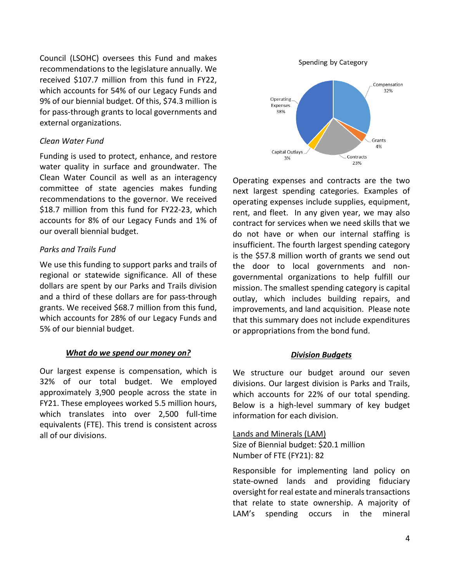Council (LSOHC) oversees this Fund and makes recommendations to the legislature annually. We received \$107.7 million from this fund in FY22, which accounts for 54% of our Legacy Funds and 9% of our biennial budget. Of this, \$74.3 million is for pass-through grants to local governments and external organizations.

#### *Clean Water Fund*

Funding is used to protect, enhance, and restore water quality in surface and groundwater. The Clean Water Council as well as an interagency committee of state agencies makes funding recommendations to the governor. We received \$18.7 million from this fund for FY22-23, which accounts for 8% of our Legacy Funds and 1% of our overall biennial budget.

#### *Parks and Trails Fund*

We use this funding to support parks and trails of regional or statewide significance. All of these dollars are spent by our Parks and Trails division and a third of these dollars are for pass-through grants. We received \$68.7 million from this fund, which accounts for 28% of our Legacy Funds and 5% of our biennial budget.

## *What do we spend our money on?*

Our largest expense is compensation, which is 32% of our total budget. We employed approximately 3,900 people across the state in FY21. These employees worked 5.5 million hours, which translates into over 2,500 full-time equivalents (FTE). This trend is consistent across all of our divisions.

Spending by Category



Operating expenses and contracts are the two next largest spending categories. Examples of operating expenses include supplies, equipment, rent, and fleet. In any given year, we may also contract for services when we need skills that we do not have or when our internal staffing is insufficient. The fourth largest spending category is the \$57.8 million worth of grants we send out the door to local governments and nongovernmental organizations to help fulfill our mission. The smallest spending category is capital outlay, which includes building repairs, and improvements, and land acquisition. Please note that this summary does not include expenditures or appropriations from the bond fund.

## *Division Budgets*

We structure our budget around our seven divisions. Our largest division is Parks and Trails, which accounts for 22% of our total spending. Below is a high-level summary of key budget information for each division.

Lands and Minerals (LAM) Size of Biennial budget: \$20.1 million Number of FTE (FY21): 82

Responsible for implementing land policy on state-owned lands and providing fiduciary oversight for real estate and minerals transactions that relate to state ownership. A majority of LAM's spending occurs in the mineral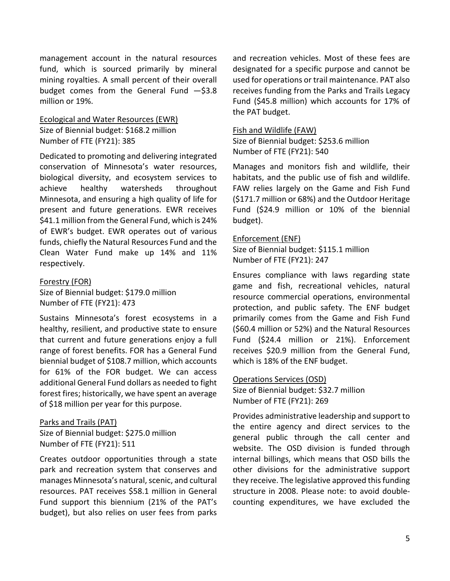management account in the natural resources fund, which is sourced primarily by mineral mining royalties. A small percent of their overall budget comes from the General Fund —\$3.8 million or 19%.

#### Ecological and Water Resources (EWR) Size of Biennial budget: \$168.2 million Number of FTE (FY21): 385

Dedicated to promoting and delivering integrated conservation of Minnesota's water resources, biological diversity, and ecosystem services to achieve healthy watersheds throughout Minnesota, and ensuring a high quality of life for present and future generations. EWR receives \$41.1 million from the General Fund, which is 24% of EWR's budget. EWR operates out of various funds, chiefly the Natural Resources Fund and the Clean Water Fund make up 14% and 11% respectively.

## Forestry (FOR) Size of Biennial budget: \$179.0 million Number of FTE (FY21): 473

Sustains Minnesota's forest ecosystems in a healthy, resilient, and productive state to ensure that current and future generations enjoy a full range of forest benefits. FOR has a General Fund biennial budget of \$108.7 million, which accounts for 61% of the FOR budget. We can access additional General Fund dollars as needed to fight forest fires; historically, we have spent an average of \$18 million per year for this purpose.

# Parks and Trails (PAT)

Size of Biennial budget: \$275.0 million Number of FTE (FY21): 511

Creates outdoor opportunities through a state park and recreation system that conserves and manages Minnesota's natural, scenic, and cultural resources. PAT receives \$58.1 million in General Fund support this biennium (21% of the PAT's budget), but also relies on user fees from parks and recreation vehicles. Most of these fees are designated for a specific purpose and cannot be used for operations or trail maintenance. PAT also receives funding from the Parks and Trails Legacy Fund (\$45.8 million) which accounts for 17% of the PAT budget.

#### Fish and Wildlife (FAW)

Size of Biennial budget: \$253.6 million Number of FTE (FY21): 540

Manages and monitors fish and wildlife, their habitats, and the public use of fish and wildlife. FAW relies largely on the Game and Fish Fund (\$171.7 million or 68%) and the Outdoor Heritage Fund (\$24.9 million or 10% of the biennial budget).

#### Enforcement (ENF)

Size of Biennial budget: \$115.1 million Number of FTE (FY21): 247

Ensures compliance with laws regarding state game and fish, recreational vehicles, natural resource commercial operations, environmental protection, and public safety. The ENF budget primarily comes from the Game and Fish Fund (\$60.4 million or 52%) and the Natural Resources Fund (\$24.4 million or 21%). Enforcement receives \$20.9 million from the General Fund, which is 18% of the ENF budget.

#### Operations Services (OSD)

Size of Biennial budget: \$32.7 million Number of FTE (FY21): 269

Provides administrative leadership and support to the entire agency and direct services to the general public through the call center and website. The OSD division is funded through internal billings, which means that OSD bills the other divisions for the administrative support they receive. The legislative approved this funding structure in 2008. Please note: to avoid doublecounting expenditures, we have excluded the